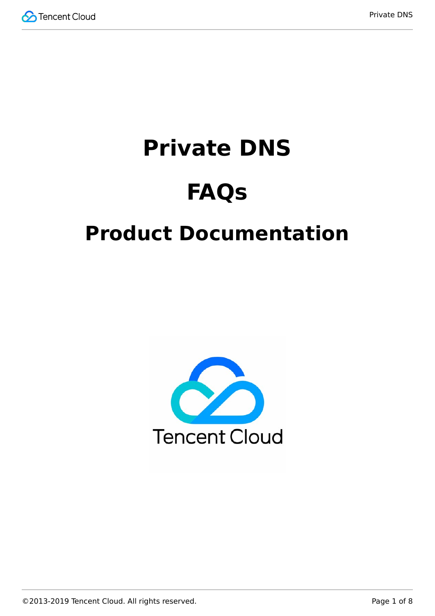

# **Private DNS**

# **FAQs**

# **Product Documentation**

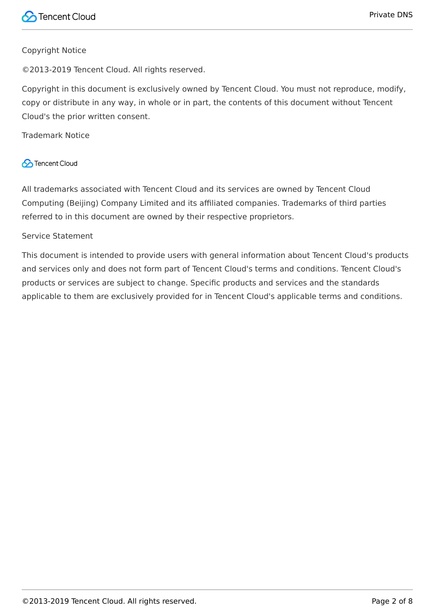#### Copyright Notice

©2013-2019 Tencent Cloud. All rights reserved.

Copyright in this document is exclusively owned by Tencent Cloud. You must not reproduce, modify, copy or distribute in any way, in whole or in part, the contents of this document without Tencent Cloud's the prior written consent.

Trademark Notice

#### **C** Tencent Cloud

All trademarks associated with Tencent Cloud and its services are owned by Tencent Cloud Computing (Beijing) Company Limited and its affiliated companies. Trademarks of third parties referred to in this document are owned by their respective proprietors.

#### Service Statement

This document is intended to provide users with general information about Tencent Cloud's products and services only and does not form part of Tencent Cloud's terms and conditions. Tencent Cloud's products or services are subject to change. Specific products and services and the standards applicable to them are exclusively provided for in Tencent Cloud's applicable terms and conditions.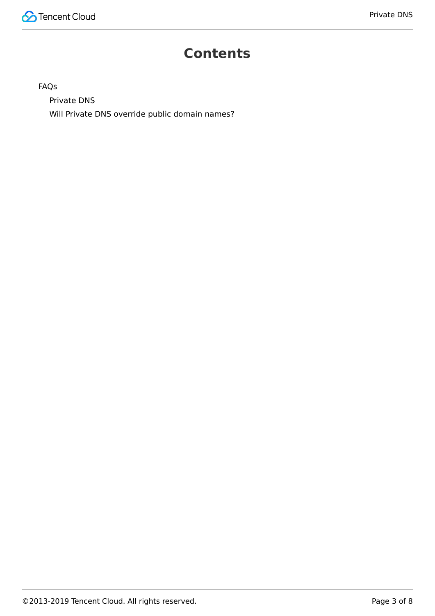#### **Contents**

#### [FAQs](#page-3-0)

[Private DNS](#page-3-1)

[Will Private DNS override public domain names?](#page-6-0)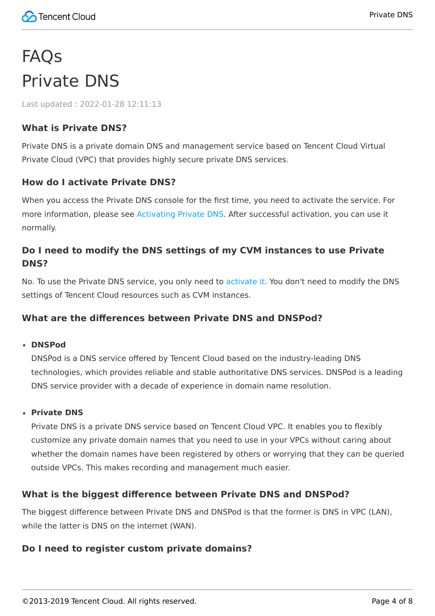# <span id="page-3-1"></span><span id="page-3-0"></span>FAQs Private DNS

Last updated:2022-01-28 12:11:13

#### **What is Private DNS?**

Private DNS is a private domain DNS and management service based on Tencent Cloud Virtual Private Cloud (VPC) that provides highly secure private DNS services.

#### **How do I activate Private DNS?**

When you access the Private DNS console for the first time, you need to activate the service. For more information, please see [Activating Private DNS](https://intl.cloud.tencent.com/document/product/1097/40557). After successful activation, you can use it normally.

#### **Do I need to modify the DNS settings of my CVM instances to use Private DNS?**

No. To use the Private DNS service, you only need to [activate it](https://intl.cloud.tencent.com/document/product/1097/40557). You don't need to modify the DNS settings of Tencent Cloud resources such as CVM instances.

#### **What are the differences between Private DNS and DNSPod?**

#### **DNSPod**

DNSPod is a DNS service offered by Tencent Cloud based on the industry-leading DNS technologies, which provides reliable and stable authoritative DNS services. DNSPod is a leading DNS service provider with a decade of experience in domain name resolution.

#### **Private DNS**

Private DNS is a private DNS service based on Tencent Cloud VPC. It enables you to flexibly customize any private domain names that you need to use in your VPCs without caring about whether the domain names have been registered by others or worrying that they can be queried outside VPCs. This makes recording and management much easier.

#### **What is the biggest difference between Private DNS and DNSPod?**

The biggest difference between Private DNS and DNSPod is that the former is DNS in VPC (LAN), while the latter is DNS on the internet (WAN).

#### **Do I need to register custom private domains?**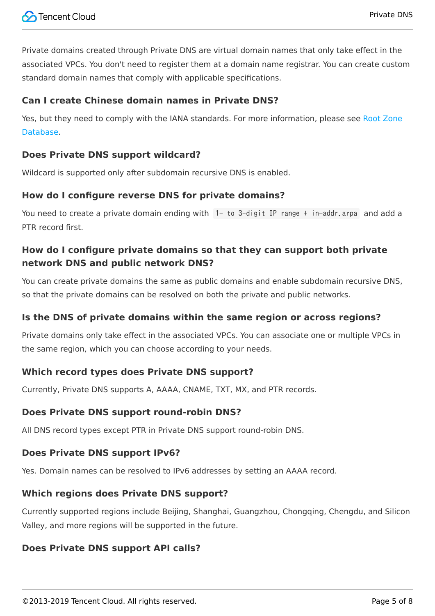Private domains created through Private DNS are virtual domain names that only take effect in the associated VPCs. You don't need to register them at a domain name registrar. You can create custom standard domain names that comply with applicable specifications.

#### **Can I create Chinese domain names in Private DNS?**

[Yes, but they need to comply with the IANA standards. For more information, please see Root Zone](https://www.iana.org/domains/root/db) Database.

#### **Does Private DNS support wildcard?**

Wildcard is supported only after subdomain recursive DNS is enabled.

#### **How do I configure reverse DNS for private domains?**

You need to create a private domain ending with 1- to 3-digit IP range + in-addr.arpa and add a PTR record first.

#### **How do I configure private domains so that they can support both private network DNS and public network DNS?**

You can create private domains the same as public domains and enable subdomain recursive DNS, so that the private domains can be resolved on both the private and public networks.

#### **Is the DNS of private domains within the same region or across regions?**

Private domains only take effect in the associated VPCs. You can associate one or multiple VPCs in the same region, which you can choose according to your needs.

#### **Which record types does Private DNS support?**

Currently, Private DNS supports A, AAAA, CNAME, TXT, MX, and PTR records.

#### **Does Private DNS support round-robin DNS?**

All DNS record types except PTR in Private DNS support round-robin DNS.

#### **Does Private DNS support IPv6?**

Yes. Domain names can be resolved to IPv6 addresses by setting an AAAA record.

#### **Which regions does Private DNS support?**

Currently supported regions include Beijing, Shanghai, Guangzhou, Chongqing, Chengdu, and Silicon Valley, and more regions will be supported in the future.

#### **Does Private DNS support API calls?**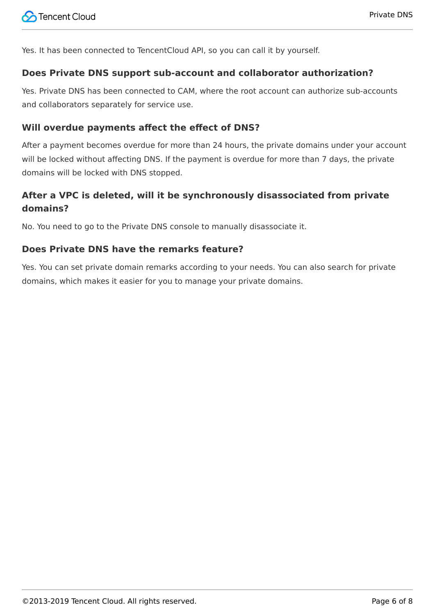Yes. It has been connected to TencentCloud API, so you can call it by yourself.

#### **Does Private DNS support sub-account and collaborator authorization?**

Yes. Private DNS has been connected to CAM, where the root account can authorize sub-accounts and collaborators separately for service use.

#### **Will overdue payments affect the effect of DNS?**

After a payment becomes overdue for more than 24 hours, the private domains under your account will be locked without affecting DNS. If the payment is overdue for more than 7 days, the private domains will be locked with DNS stopped.

#### **After a VPC is deleted, will it be synchronously disassociated from private domains?**

No. You need to go to the Private DNS console to manually disassociate it.

#### **Does Private DNS have the remarks feature?**

Yes. You can set private domain remarks according to your needs. You can also search for private domains, which makes it easier for you to manage your private domains.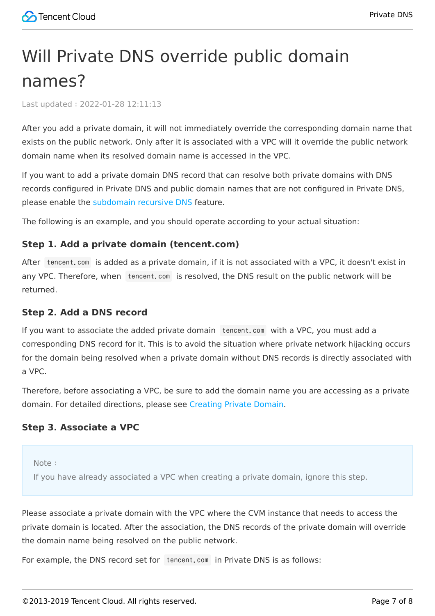### <span id="page-6-0"></span>Will Private DNS override public domain names?

Last updated:2022-01-28 12:11:13

After you add a private domain, it will not immediately override the corresponding domain name that exists on the public network. Only after it is associated with a VPC will it override the public network domain name when its resolved domain name is accessed in the VPC.

If you want to add a private domain DNS record that can resolve both private domains with DNS records configured in Private DNS and public domain names that are not configured in Private DNS, please enable the [subdomain recursive DNS](https://intl.cloud.tencent.com/document/product/1097/40566) feature.

The following is an example, and you should operate according to your actual situation:

#### **Step 1. Add a private domain (tencent.com)**

After tencent.com is added as a private domain, if it is not associated with a VPC, it doesn't exist in any VPC. Therefore, when tencent.com is resolved, the DNS result on the public network will be returned.

#### **Step 2. Add a DNS record**

If you want to associate the added private domain tencent.com with a VPC, you must add a corresponding DNS record for it. This is to avoid the situation where private network hijacking occurs for the domain being resolved when a private domain without DNS records is directly associated with a VPC.

Therefore, before associating a VPC, be sure to add the domain name you are accessing as a private domain. For detailed directions, please see [Creating Private Domain](https://intl.cloud.tencent.com/document/product/1097/40558).

#### **Step 3. Associate a VPC**

Note:

If you have already associated a VPC when creating a private domain, ignore this step.

Please associate a private domain with the VPC where the CVM instance that needs to access the private domain is located. After the association, the DNS records of the private domain will override the domain name being resolved on the public network.

For example, the DNS record set for tencent.com in Private DNS is as follows: